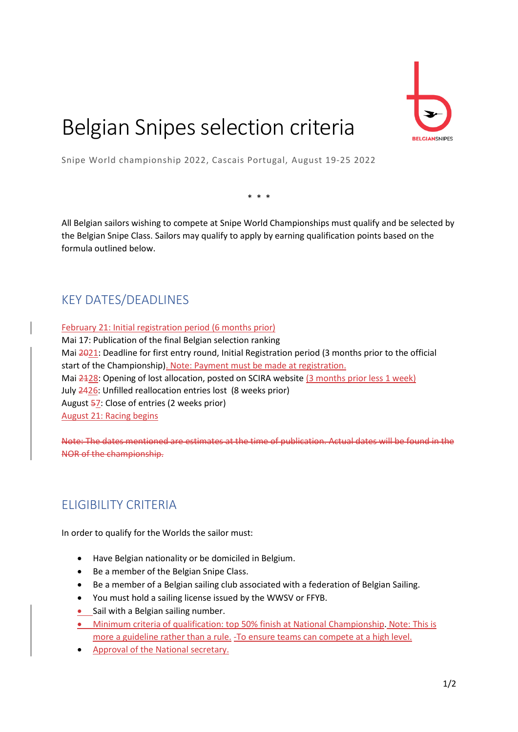

# Belgian Snipes selection criteria

Snipe World championship 2022, Cascais Portugal, August 19-25 2022

\* \* \*

All Belgian sailors wishing to compete at Snipe World Championships must qualify and be selected by the Belgian Snipe Class. Sailors may qualify to apply by earning qualification points based on the formula outlined below.

## KEY DATES/DEADLINES

February 21: Initial registration period (6 months prior) Mai 17: Publication of the final Belgian selection ranking Mai 2021: Deadline for first entry round, Initial Registration period (3 months prior to the official start of the Championship). Note: Payment must be made at registration. Mai 2128: Opening of lost allocation, posted on SCIRA website (3 months prior less 1 week) July 2426: Unfilled reallocation entries lost (8 weeks prior) August 57: Close of entries (2 weeks prior) August 21: Racing begins

Note: The dates mentioned are estimates at the time of publication. Actual dates will be found in the NOR of the championship.

## ELIGIBILITY CRITERIA

In order to qualify for the Worlds the sailor must:

- Have Belgian nationality or be domiciled in Belgium.
- Be a member of the Belgian Snipe Class.
- Be a member of a Belgian sailing club associated with a federation of Belgian Sailing.
- You must hold a sailing license issued by the WWSV or FFYB.
- Sail with a Belgian sailing number.
- Minimum criteria of qualification: top 50% finish at National Championship. Note: This is more a guideline rather than a rule. -To ensure teams can compete at a high level.
- Approval of the National secretary.